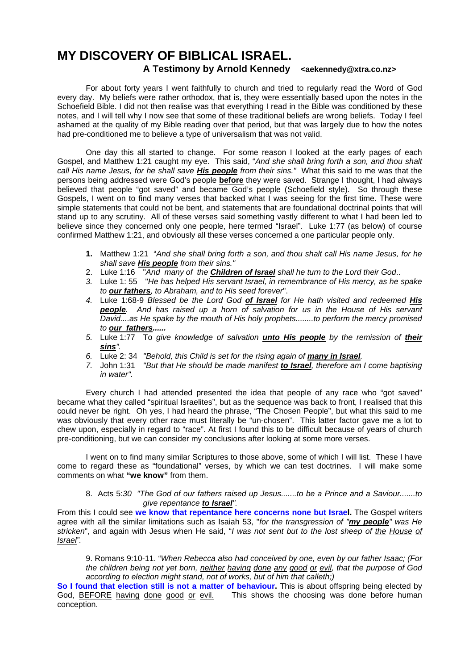# **MY DISCOVERY OF BIBLICAL ISRAEL.**

# **A Testimony by Arnold Kennedy <aekennedy@xtra.co.nz>**

 For about forty years I went faithfully to church and tried to regularly read the Word of God every day. My beliefs were rather orthodox, that is, they were essentially based upon the notes in the Schoefield Bible. I did not then realise was that everything I read in the Bible was conditioned by these notes, and I will tell why I now see that some of these traditional beliefs are wrong beliefs. Today I feel ashamed at the quality of my Bible reading over that period, but that was largely due to how the notes had pre-conditioned me to believe a type of universalism that was not valid.

 One day this all started to change. For some reason I looked at the early pages of each Gospel, and Matthew 1:21 caught my eye. This said, "*And she shall bring forth a son, and thou shalt call His name Jesus, for he shall save His people from their sins."* What this said to me was that the persons being addressed were God's people **before** they were saved. Strange I thought, I had always believed that people "got saved" and became God's people (Schoefield style). So through these Gospels, I went on to find many verses that backed what I was seeing for the first time. These were simple statements that could not be bent, and statements that are foundational doctrinal points that will stand up to any scrutiny. All of these verses said something vastly different to what I had been led to believe since they concerned only one people, here termed "Israel". Luke 1:77 (as below) of course confirmed Matthew 1:21, and obviously all these verses concerned a one particular people only.

- **1.** Matthew 1:21 "*And she shall bring forth a son, and thou shalt call His name Jesus, for he shall save His people from their sins."*
- 2. Luke 1:16 "*And many of the Children of Israel shall he turn to the Lord their God*..
- *3.* Luke 1: 55 "*He has helped His servant Israel, in remembrance of His mercy, as he spake to our fathers, to Abraham, and to His seed forever*".
- *4.* Luke 1:68-9 *Blessed be the Lord God of Israel for He hath visited and redeemed His people. And has raised up a horn of salvation for us in the House of His servant David....as He spake by the mouth of His holy prophets........to perform the mercy promised to our fathers......*
- *5.* Luke 1:77 To *give knowledge of salvation unto His people by the remission of their sins".*
- *6.* Luke 2: 34 *"Behold, this Child is set for the rising again of many in Israel.*
- *7.* John 1:31 *"But that He should be made manifest to Israel, therefore am I come baptising in water".*

 Every church I had attended presented the idea that people of any race who "got saved" became what they called "spiritual Israelites", but as the sequence was back to front, I realised that this could never be right. Oh yes, I had heard the phrase, "The Chosen People", but what this said to me was obviously that every other race must literally be "un-chosen". This latter factor gave me a lot to chew upon, especially in regard to "race". At first I found this to be difficult because of years of church pre-conditioning, but we can consider my conclusions after looking at some more verses.

 I went on to find many similar Scriptures to those above, some of which I will list. These I have come to regard these as "foundational" verses, by which we can test doctrines. I will make some comments on what **"we know"** from them.

### 8. Acts 5:*30 "The God of our fathers raised up Jesus.......to be a Prince and a Saviour.......to give repentance to Israel".*

From this I could see **we know that repentance here concerns none but Israel.** The Gospel writers agree with all the similar limitations such as Isaiah 53, "*for the transgression of "my people" was He stricken*", and again with Jesus when He said, "*I was not sent but to the lost sheep of the House of Israel".*

9. Romans 9:10-11. "*When Rebecca also had conceived by one, even by our father Isaac; (For the children being not yet born, neither having done any good or evil, that the purpose of God according to election might stand, not of works, but of him that calleth;)* 

**So I found that election still is not a matter of behaviour.** This is about offspring being elected by God, BEFORE having done good or evil. This shows the choosing was done before human conception.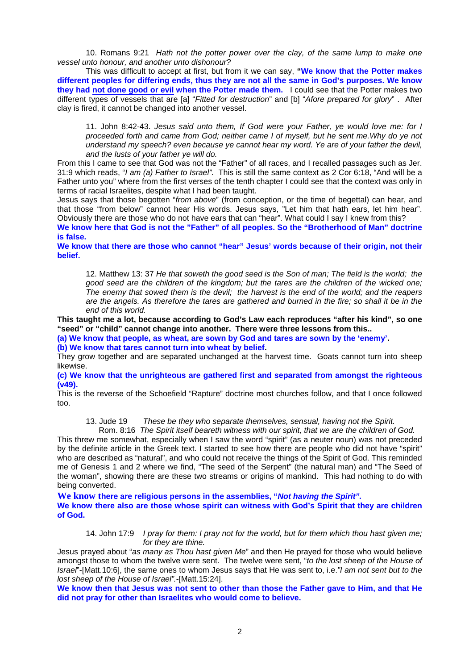10. Romans 9:21 *Hath not the potter power over the clay, of the same lump to make one vessel unto honour, and another unto dishonour?*

This was difficult to accept at first, but from it we can say, **"We know that the Potter makes different peoples for differing ends, thus they are not all the same in God's purposes. We know they had not done good or evil when the Potter made them.** I could see that the Potter makes two different types of vessels that are [a] "*Fitted for destruction*" and [b] "*Afore prepared for glory*" . After clay is fired, it cannot be changed into another vessel.

11. John 8:42-43. *Jesus said unto them, If God were your Father, ye would love me: for I proceeded forth and came from God; neither came I of myself, but he sent me.Why do ye not understand my speech? even because ye cannot hear my word. Ye are of your father the devil, and the lusts of your father ye will do.* 

From this I came to see that God was not the "Father" of all races, and I recalled passages such as Jer. 31:9 which reads, "*I am (a) Father to Israel".* This is still the same context as 2 Cor 6:18, "And will be a Father unto you" where from the first verses of the tenth chapter I could see that the context was only in terms of racial Israelites, despite what I had been taught.

Jesus says that those begotten "*from above*" (from conception, or the time of begettal) can hear, and that those "from below" cannot hear His words. Jesus says, "Let him that hath ears, let him hear". Obviously there are those who do not have ears that can "hear". What could I say I knew from this?

**We know here that God is not the "Father" of all peoples. So the "Brotherhood of Man" doctrine is false.** 

**We know that there are those who cannot "hear" Jesus' words because of their origin, not their belief.** 

12. Matthew 13: 37 *He that soweth the good seed is the Son of man; The field is the world; the good seed are the children of the kingdom; but the tares are the children of the wicked one; The enemy that sowed them is the devil; the harvest is the end of the world; and the reapers are the angels. As therefore the tares are gathered and burned in the fire; so shall it be in the end of this world.* 

**This taught me a lot, because according to God's Law each reproduces "after his kind", so one "seed" or "child" cannot change into another. There were three lessons from this..** 

**(a) We know that people, as wheat, are sown by God and tares are sown by the 'enemy'.** 

**(b) We know that tares cannot turn into wheat by belief.** 

They grow together and are separated unchanged at the harvest time. Goats cannot turn into sheep likewise.

**(c) We know that the unrighteous are gathered first and separated from amongst the righteous (v49).**

This is the reverse of the Schoefield "Rapture" doctrine most churches follow, and that I once followed too.

13. Jude 19 *These be they who separate themselves, sensual, having not the Spirit.*

 Rom. 8:16 *The Spirit itself beareth witness with our spirit, that we are the children of God.*  This threw me somewhat, especially when I saw the word "spirit" (as a neuter noun) was not preceded by the definite article in the Greek text. I started to see how there are people who did not have "spirit" who are described as "natural", and who could not receive the things of the Spirit of God. This reminded me of Genesis 1 and 2 where we find, "The seed of the Serpent" (the natural man) and "The Seed of the woman", showing there are these two streams or origins of mankind. This had nothing to do with being converted.

**We know there are religious persons in the assemblies, "***Not having the Spirit".*  **We know there also are those whose spirit can witness with God's Spirit that they are children of God.** 

14. John 17:9 *I pray for them: I pray not for the world, but for them which thou hast given me; for they are thine.*

Jesus prayed about "*as many as Thou hast given Me*" and then He prayed for those who would believe amongst those to whom the twelve were sent. The twelve were sent, "*to the lost sheep of the House of Israel*"-[Matt.10:6], the same ones to whom Jesus says that He was sent to, i.e.*"I am not sent but to the lost sheep of the House of Israel".-*[Matt.15:24].

**We know then that Jesus was not sent to other than those the Father gave to Him, and that He did not pray for other than Israelites who would come to believe.**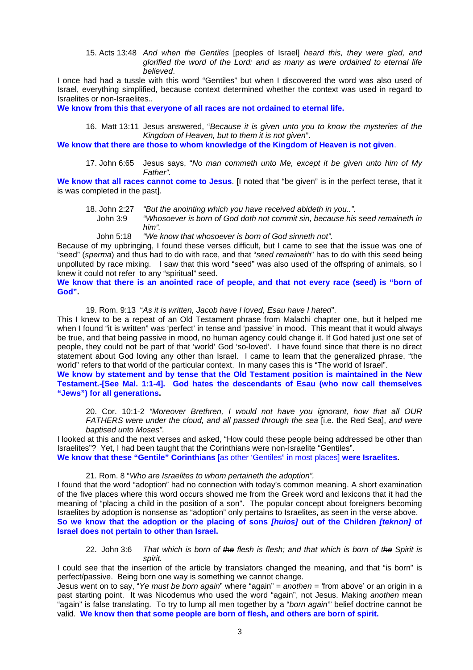15. Acts 13:48 *And when the Gentiles* [peoples of Israel] *heard this, they were glad, and glorified the word of the Lord: and as many as were ordained to eternal life believed*.

I once had had a tussle with this word "Gentiles" but when I discovered the word was also used of Israel, everything simplified, because context determined whether the context was used in regard to Israelites or non-Israelites..

**We know from this that everyone of all races are not ordained to eternal life.** 

16. Matt 13:11 Jesus answered, "*Because it is given unto you to know the mysteries of the Kingdom of Heaven, but to them it is not given*".

**We know that there are those to whom knowledge of the Kingdom of Heaven is not given**.

17. John 6:65 Jesus says, "*No man commeth unto Me, except it be given unto him of My Father".* 

**We know that all races cannot come to Jesus**. [I noted that "be given" is in the perfect tense, that it is was completed in the past].

18. John 2:27 *"But the anointing which you have received abideth in you..".* 

 John 3:9 *"Whosoever is born of God doth not commit sin, because his seed remaineth in him".* 

John 5:18 *"We know that whosoever is born of God sinneth not".* 

Because of my upbringing, I found these verses difficult, but I came to see that the issue was one of "seed" (*sperma*) and thus had to do with race, and that "*seed remaineth*" has to do with this seed being unpolluted by race mixing. I saw that this word "seed" was also used of the offspring of animals, so I knew it could not refer to any "spiritual" seed.

**We know that there is an anointed race of people, and that not every race (seed) is "born of God".**

19. Rom. 9:13 "*As it is written, Jacob have I loved, Esau have I hated*".

This I knew to be a repeat of an Old Testament phrase from Malachi chapter one, but it helped me when I found "it is written" was 'perfect' in tense and 'passive' in mood. This meant that it would always be true, and that being passive in mood, no human agency could change it. If God hated just one set of people, they could not be part of that 'world' God 'so-loved'. I have found since that there is no direct statement about God loving any other than Israel. I came to learn that the generalized phrase, "the world" refers to that world of the particular context. In many cases this is "The world of Israel".

**We know by statement and by tense that the Old Testament position is maintained in the New Testament.-[See Mal. 1:1-4]. God hates the descendants of Esau (who now call themselves "Jews") for all generations.** 

20. Cor. 10:1-2 *"Moreover Brethren, I would not have you ignorant, how that all OUR FATHERS were under the cloud, and all passed through the sea [i.e. the Red Sea], and were baptised unto Moses"*.

I looked at this and the next verses and asked, "How could these people being addressed be other than Israelites"? Yet, I had been taught that the Corinthians were non-Israelite "Gentiles".

**We know that these "Gentile" Corinthians** [as other 'Gentiles" in most places] **were Israelites.** 

## 21. Rom. 8 "*Who are Israelites to whom pertaineth the adoption".*

I found that the word "adoption" had no connection with today's common meaning. A short examination of the five places where this word occurs showed me from the Greek word and lexicons that it had the meaning of "placing a child in the position of a son". The popular concept about foreigners becoming Israelites by adoption is nonsense as "adoption" only pertains to Israelites, as seen in the verse above. **So we know that the adoption or the placing of sons** *[huios]* **out of the Children** *[teknon]* **of Israel does not pertain to other than Israel.** 

22. John 3:6 *That which is born of the flesh is flesh; and that which is born of the Spirit is spirit.* 

I could see that the insertion of the article by translators changed the meaning, and that "is born" is perfect/passive. Being born one way is something we cannot change.

Jesus went on to say, "*Ye must be born again*" where "again" = *anothen = '*from above' or an origin in a past starting point. It was Nicodemus who used the word "again", not Jesus. Making *anothen* mean "again" is false translating. To try to lump all men together by a "*born again'*" belief doctrine cannot be valid. **We know then that some people are born of flesh, and others are born of spirit.**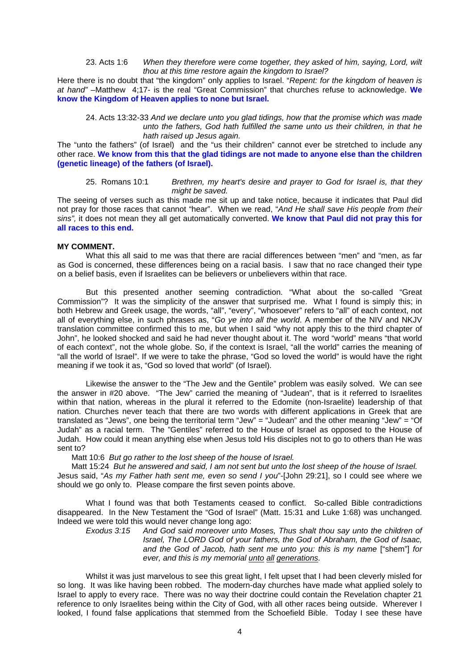#### 23. Acts 1:6 *When they therefore were come together, they asked of him, saying, Lord, wilt thou at this time restore again the kingdom to Israel?*

Here there is no doubt that "the kingdom" only applies to Israel. "*Repent: for the kingdom of heaven is at hand"* –Matthew 4;17- is the real "Great Commission" that churches refuse to acknowledge. **We know the Kingdom of Heaven applies to none but Israel.** 

24. Acts 13:32-33 *And we declare unto you glad tidings, how that the promise which was made unto the fathers, God hath fulfilled the same unto us their children, in that he hath raised up Jesus again.* 

The "unto the fathers" (of Israel) and the "us their children" cannot ever be stretched to include any other race. **We know from this that the glad tidings are not made to anyone else than the children (genetic lineage) of the fathers (of Israel).** 

### 25. Romans 10:1 *Brethren, my heart's desire and prayer to God for Israel is, that they might be saved.*

The seeing of verses such as this made me sit up and take notice, because it indicates that Paul did not pray for those races that cannot "hear". When we read, "*And He shall save His people from their sins",* it does not mean they all get automatically converted. **We know that Paul did not pray this for all races to this end.**

#### **MY COMMENT.**

 What this all said to me was that there are racial differences between "men" and "men, as far as God is concerned, these differences being on a racial basis. I saw that no race changed their type on a belief basis, even if Israelites can be believers or unbelievers within that race.

 But this presented another seeming contradiction. "What about the so-called "Great Commission"? It was the simplicity of the answer that surprised me. What I found is simply this; in both Hebrew and Greek usage, the words, "all", "every", "whosoever" refers to "all" of each context, not all of everything else, in such phrases as, "*Go ye into all the world*. A member of the NIV and NKJV translation committee confirmed this to me, but when I said "why not apply this to the third chapter of John", he looked shocked and said he had never thought about it. The word "world" means "that world of each context", not the whole globe. So, if the context is Israel, "all the world" carries the meaning of "all the world of Israel". If we were to take the phrase, "God so loved the world" is would have the right meaning if we took it as, "God so loved that world" (of Israel).

 Likewise the answer to the "The Jew and the Gentile" problem was easily solved. We can see the answer in #20 above. "The Jew" carried the meaning of "Judean", that is it referred to Israelites within that nation, whereas in the plural it referred to the Edomite (non-Israelite) leadership of that nation. Churches never teach that there are two words with different applications in Greek that are translated as "Jews", one being the territorial term "Jew" = "Judean" and the other meaning "Jew" = "Of Judah" as a racial term. The "Gentiles" referred to the House of Israel as opposed to the House of Judah. How could it mean anything else when Jesus told His disciples not to go to others than He was sent to?

Matt 10:6 *But go rather to the lost sheep of the house of Israel.* 

 Matt 15:24 *But he answered and said, I am not sent but unto the lost sheep of the house of Israel.*  Jesus said, "*As my Father hath sent me, even so send I you*"-[John 29:21], so I could see where we should we go only to. Please compare the first seven points above.

What I found was that both Testaments ceased to conflict. So-called Bible contradictions disappeared. In the New Testament the "God of Israel" (Matt. 15:31 and Luke 1:68) was unchanged. Indeed we were told this would never change long ago:

*Exodus 3:15 And God said moreover unto Moses, Thus shalt thou say unto the children of Israel, The LORD God of your fathers, the God of Abraham, the God of Isaac, and the God of Jacob, hath sent me unto you: this is my name* ["shem"] *for ever, and this is my memorial unto all generations.* 

 Whilst it was just marvelous to see this great light, I felt upset that I had been cleverly misled for so long. It was like having been robbed. The modern-day churches have made what applied solely to Israel to apply to every race. There was no way their doctrine could contain the Revelation chapter 21 reference to only Israelites being within the City of God, with all other races being outside. Wherever I looked, I found false applications that stemmed from the Schoefield Bible. Today I see these have